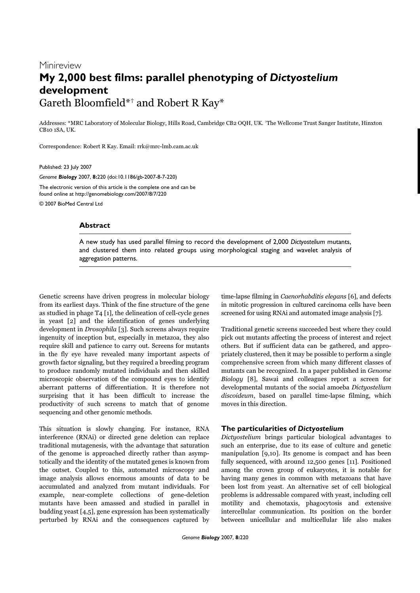# Minireview **My 2,000 best films: parallel phenotyping of** *Dictyostelium* **development** Gareth Bloomfield\*† and Robert R Kay\*

Addresses: \*MRC Laboratory of Molecular Biology, Hills Road, Cambridge CB2 OQH, UK. †The Wellcome Trust Sanger Institute, Hinxton CB10 1SA, UK.

Correspondence: Robert R Kay. Email: rrk@mrc-lmb.cam.ac.uk

Published: 23 July 2007

*Genome Biology* 2007, **8:**220 (doi:10.1186/gb-2007-8-7-220)

The electronic version of this article is the complete one and can be found online at http://genomebiology.com/2007/8/7/220

© 2007 BioMed Central Ltd

### **Abstract**

A new study has used parallel filming to record the development of 2,000 *Dictyostelium* mutants, and clustered them into related groups using morphological staging and wavelet analysis of aggregation patterns.

Genetic screens have driven progress in molecular biology from its earliest days. Think of the fine structure of the gene as studied in phage T4 [1], the delineation of cell-cycle genes in yeast [2] and the identification of genes underlying development in Drosophila [3]. Such screens always require ingenuity of inception but, especially in metazoa, they also require skill and patience to carry out. Screens for mutants in the fly eye have revealed many important aspects of growth factor signaling, but they required a breeding program to produce randomly mutated individuals and then skilled microscopic observation of the compound eyes to identify aberrant patterns of differentiation. It is therefore not surprising that it has been difficult to increase the productivity of such screens to match that of genome sequencing and other genomic methods.

This situation is slowly changing. For instance, RNA interference (RNAi) or directed gene deletion can replace traditional mutagenesis, with the advantage that saturation of the genome is approached directly rather than asymptotically and the identity of the mutated genes is known from the outset. Coupled to this, automated microscopy and image analysis allows enormous amounts of data to be accumulated and analyzed from mutant individuals. For example, near-complete collections of gene-deletion mutants have been amassed and studied in parallel in budding yeast [4,5], gene expression has been systematically perturbed by RNAi and the consequences captured by time-lapse filming in Caenorhabditis elegans [6], and defects in mitotic progression in cultured carcinoma cells have been screened for using RNAi and automated image analysis [7].

Traditional genetic screens succeeded best where they could pick out mutants affecting the process of interest and reject others. But if sufficient data can be gathered, and appropriately clustered, then it may be possible to perform a single comprehensive screen from which many different classes of mutants can be recognized. In a paper published in Genome Biology [8], Sawai and colleagues report a screen for developmental mutants of the social amoeba Dictyostelium discoideum, based on parallel time-lapse filming, which moves in this direction.

## **The particularities of** *Dictyostelium*

Dictyostelium brings particular biological advantages to such an enterprise, due to its ease of culture and genetic manipulation [9,10]. Its genome is compact and has been fully sequenced, with around 12,500 genes [11]. Positioned among the crown group of eukaryotes, it is notable for having many genes in common with metazoans that have been lost from yeast. An alternative set of cell biological problems is addressable compared with yeast, including cell motility and chemotaxis, phagocytosis and extensive intercellular communication. Its position on the border between unicellular and multicellular life also makes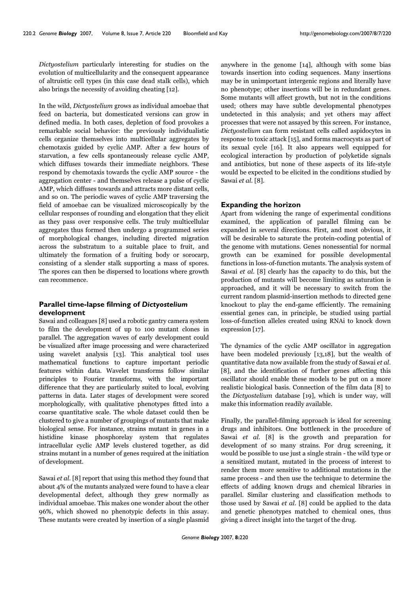Dictyostelium particularly interesting for studies on the evolution of multicellularity and the consequent appearance of altruistic cell types (in this case dead stalk cells), which also brings the necessity of avoiding cheating [12].

In the wild, Dictyostelium grows as individual amoebae that feed on bacteria, but domesticated versions can grow in defined media. In both cases, depletion of food provokes a remarkable social behavior: the previously individualistic cells organize themselves into multicellular aggregates by chemotaxis guided by cyclic AMP. After a few hours of starvation, a few cells spontaneously release cyclic AMP, which diffuses towards their immediate neighbors. These respond by chemotaxis towards the cyclic AMP source - the aggregation center - and themselves release a pulse of cyclic AMP, which diffuses towards and attracts more distant cells, and so on. The periodic waves of cyclic AMP traversing the field of amoebae can be visualized microscopically by the cellular responses of rounding and elongation that they elicit as they pass over responsive cells. The truly multicellular aggregates thus formed then undergo a programmed series of morphological changes, including directed migration across the substratum to a suitable place to fruit, and ultimately the formation of a fruiting body or sorocarp, consisting of a slender stalk supporting a mass of spores. The spores can then be dispersed to locations where growth can recommence.

# **Parallel time-lapse filming of** *Dictyostelium* **development**

Sawai and colleagues [8] used a robotic gantry camera system to film the development of up to 100 mutant clones in parallel. The aggregation waves of early development could be visualized after image processing and were characterized using wavelet analysis [13]. This analytical tool uses mathematical functions to capture important periodic features within data. Wavelet transforms follow similar principles to Fourier transforms, with the important difference that they are particularly suited to local, evolving patterns in data. Later stages of development were scored morphologically, with qualitative phenotypes fitted into a coarse quantitative scale. The whole dataset could then be clustered to give a number of groupings of mutants that make biological sense. For instance, strains mutant in genes in a histidine kinase phosphorelay system that regulates intracellular cyclic AMP levels clustered together, as did strains mutant in a number of genes required at the initiation of development.

Sawai et al. [8] report that using this method they found that about 4% of the mutants analyzed were found to have a clear developmental defect, although they grew normally as individual amoebae. This makes one wonder about the other 96%, which showed no phenotypic defects in this assay. These mutants were created by insertion of a single plasmid

anywhere in the genome [14], although with some bias towards insertion into coding sequences. Many insertions may be in unimportant intergenic regions and literally have no phenotype; other insertions will be in redundant genes. Some mutants will affect growth, but not in the conditions used; others may have subtle developmental phenotypes undetected in this analysis; and yet others may affect processes that were not assayed by this screen. For instance, Dictyostelium can form resistant cells called aspidocytes in response to toxic attack [15], and forms macrocysts as part of its sexual cycle [16]. It also appears well equipped for ecological interaction by production of polyketide signals and antibiotics, but none of these aspects of its life-style would be expected to be elicited in the conditions studied by Sawai et al. [8].

## **Expanding the horizon**

Apart from widening the range of experimental conditions examined, the application of parallel filming can be expanded in several directions. First, and most obvious, it will be desirable to saturate the protein-coding potential of the genome with mutations. Genes nonessential for normal growth can be examined for possible developmental functions in loss-of-function mutants. The analysis system of Sawai et al. [8] clearly has the capacity to do this, but the production of mutants will become limiting as saturation is approached, and it will be necessary to switch from the current random plasmid-insertion methods to directed gene knockout to play the end-game efficiently. The remaining essential genes can, in principle, be studied using partial loss-of-function alleles created using RNAi to knock down expression [17].

The dynamics of the cyclic AMP oscillator in aggregation have been modeled previously [13,18], but the wealth of quantitative data now available from the study of Sawai et al. [8], and the identification of further genes affecting this oscillator should enable these models to be put on a more realistic biological basis. Connection of the film data [8] to the Dictyostelium database [19], which is under way, will make this information readily available.

Finally, the parallel-filming approach is ideal for screening drugs and inhibitors. One bottleneck in the procedure of Sawai et al. [8] is the growth and preparation for development of so many strains. For drug screening, it would be possible to use just a single strain - the wild type or a sensitized mutant, mutated in the process of interest to render them more sensitive to additional mutations in the same process - and then use the technique to determine the effects of adding known drugs and chemical libraries in parallel. Similar clustering and classification methods to those used by Sawai et al. [8] could be applied to the data and genetic phenotypes matched to chemical ones, thus giving a direct insight into the target of the drug.